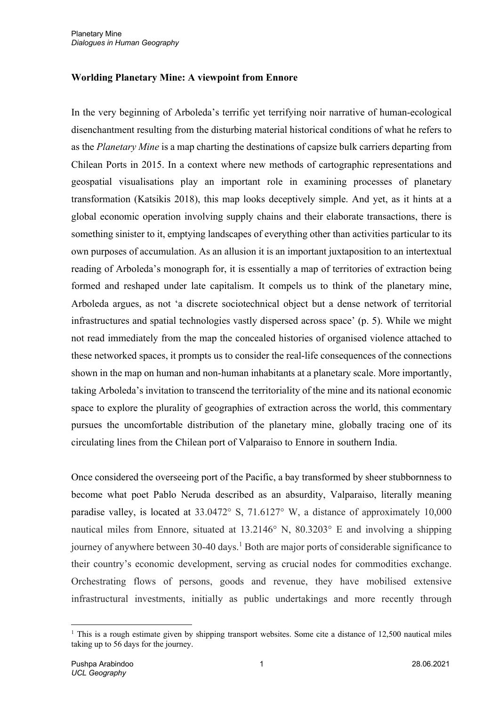## **Worlding Planetary Mine: A viewpoint from Ennore**

In the very beginning of Arboleda's terrific yet terrifying noir narrative of human-ecological disenchantment resulting from the disturbing material historical conditions of what he refers to as the *Planetary Mine* is a map charting the destinations of capsize bulk carriers departing from Chilean Ports in 2015. In a context where new methods of cartographic representations and geospatial visualisations play an important role in examining processes of planetary transformation (Katsikis 2018), this map looks deceptively simple. And yet, as it hints at a global economic operation involving supply chains and their elaborate transactions, there is something sinister to it, emptying landscapes of everything other than activities particular to its own purposes of accumulation. As an allusion it is an important juxtaposition to an intertextual reading of Arboleda's monograph for, it is essentially a map of territories of extraction being formed and reshaped under late capitalism. It compels us to think of the planetary mine, Arboleda argues, as not 'a discrete sociotechnical object but a dense network of territorial infrastructures and spatial technologies vastly dispersed across space' (p. 5). While we might not read immediately from the map the concealed histories of organised violence attached to these networked spaces, it prompts us to consider the real-life consequences of the connections shown in the map on human and non-human inhabitants at a planetary scale. More importantly, taking Arboleda's invitation to transcend the territoriality of the mine and its national economic space to explore the plurality of geographies of extraction across the world, this commentary pursues the uncomfortable distribution of the planetary mine, globally tracing one of its circulating lines from the Chilean port of Valparaiso to Ennore in southern India.

Once considered the overseeing port of the Pacific, a bay transformed by sheer stubbornness to become what poet Pablo Neruda described as an absurdity, Valparaiso, literally meaning paradise valley, is located at 33.0472° S, 71.6127° W, a distance of approximately 10,000 nautical miles from Ennore, situated at 13.2146° N, 80.3203° E and involving a shipping journey of anywhere between 30-40 days.<sup>1</sup> Both are major ports of considerable significance to their country's economic development, serving as crucial nodes for commodities exchange. Orchestrating flows of persons, goods and revenue, they have mobilised extensive infrastructural investments, initially as public undertakings and more recently through

<sup>&</sup>lt;sup>1</sup> This is a rough estimate given by shipping transport websites. Some cite a distance of 12,500 nautical miles taking up to 56 days for the journey.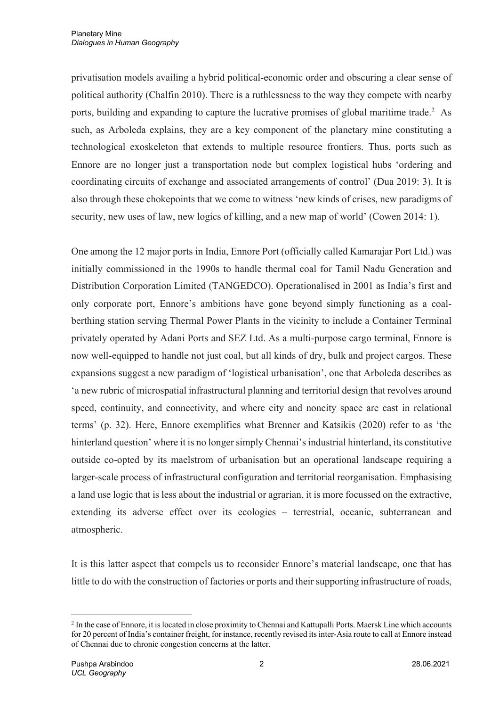privatisation models availing a hybrid political-economic order and obscuring a clear sense of political authority (Chalfin 2010). There is a ruthlessness to the way they compete with nearby ports, building and expanding to capture the lucrative promises of global maritime trade.<sup>2</sup> As such, as Arboleda explains, they are a key component of the planetary mine constituting a technological exoskeleton that extends to multiple resource frontiers. Thus, ports such as Ennore are no longer just a transportation node but complex logistical hubs 'ordering and coordinating circuits of exchange and associated arrangements of control' (Dua 2019: 3). It is also through these chokepoints that we come to witness 'new kinds of crises, new paradigms of security, new uses of law, new logics of killing, and a new map of world' (Cowen 2014: 1).

One among the 12 major ports in India, Ennore Port (officially called Kamarajar Port Ltd.) was initially commissioned in the 1990s to handle thermal coal for Tamil Nadu Generation and Distribution Corporation Limited (TANGEDCO). Operationalised in 2001 as India's first and only corporate port, Ennore's ambitions have gone beyond simply functioning as a coalberthing station serving Thermal Power Plants in the vicinity to include a Container Terminal privately operated by Adani Ports and SEZ Ltd. As a multi-purpose cargo terminal, Ennore is now well-equipped to handle not just coal, but all kinds of dry, bulk and project cargos. These expansions suggest a new paradigm of 'logistical urbanisation', one that Arboleda describes as 'a new rubric of microspatial infrastructural planning and territorial design that revolves around speed, continuity, and connectivity, and where city and noncity space are cast in relational terms' (p. 32). Here, Ennore exemplifies what Brenner and Katsikis (2020) refer to as 'the hinterland question' where it is no longer simply Chennai's industrial hinterland, its constitutive outside co-opted by its maelstrom of urbanisation but an operational landscape requiring a larger-scale process of infrastructural configuration and territorial reorganisation. Emphasising a land use logic that is less about the industrial or agrarian, it is more focussed on the extractive, extending its adverse effect over its ecologies – terrestrial, oceanic, subterranean and atmospheric.

It is this latter aspect that compels us to reconsider Ennore's material landscape, one that has little to do with the construction of factories or ports and their supporting infrastructure of roads,

<sup>&</sup>lt;sup>2</sup> In the case of Ennore, it is located in close proximity to Chennai and Kattupalli Ports. Maersk Line which accounts for 20 percent of India's container freight, for instance, recently revised its inter-Asia route to call at Ennore instead of Chennai due to chronic congestion concerns at the latter.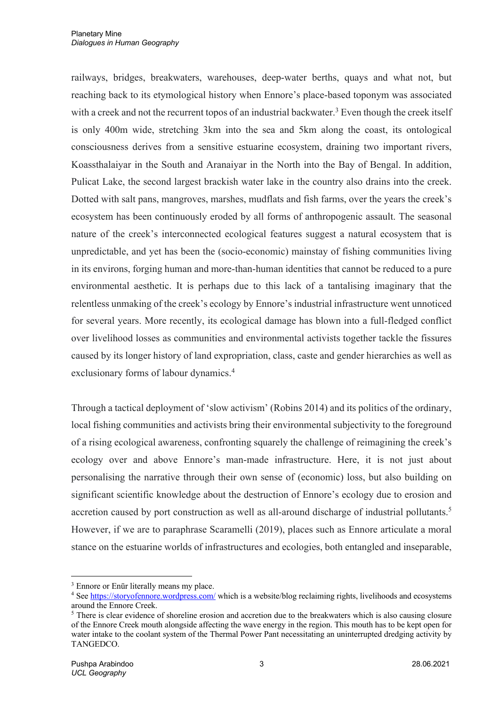railways, bridges, breakwaters, warehouses, deep-water berths, quays and what not, but reaching back to its etymological history when Ennore's place-based toponym was associated with a creek and not the recurrent topos of an industrial backwater.<sup>3</sup> Even though the creek itself is only 400m wide, stretching 3km into the sea and 5km along the coast, its ontological consciousness derives from a sensitive estuarine ecosystem, draining two important rivers, Koassthalaiyar in the South and Aranaiyar in the North into the Bay of Bengal. In addition, Pulicat Lake, the second largest brackish water lake in the country also drains into the creek. Dotted with salt pans, mangroves, marshes, mudflats and fish farms, over the years the creek's ecosystem has been continuously eroded by all forms of anthropogenic assault. The seasonal nature of the creek's interconnected ecological features suggest a natural ecosystem that is unpredictable, and yet has been the (socio-economic) mainstay of fishing communities living in its environs, forging human and more-than-human identities that cannot be reduced to a pure environmental aesthetic. It is perhaps due to this lack of a tantalising imaginary that the relentless unmaking of the creek's ecology by Ennore's industrial infrastructure went unnoticed for several years. More recently, its ecological damage has blown into a full-fledged conflict over livelihood losses as communities and environmental activists together tackle the fissures caused by its longer history of land expropriation, class, caste and gender hierarchies as well as exclusionary forms of labour dynamics. 4

Through a tactical deployment of 'slow activism' (Robins 2014) and its politics of the ordinary, local fishing communities and activists bring their environmental subjectivity to the foreground of a rising ecological awareness, confronting squarely the challenge of reimagining the creek's ecology over and above Ennore's man-made infrastructure. Here, it is not just about personalising the narrative through their own sense of (economic) loss, but also building on significant scientific knowledge about the destruction of Ennore's ecology due to erosion and accretion caused by port construction as well as all-around discharge of industrial pollutants.<sup>5</sup> However, if we are to paraphrase Scaramelli (2019), places such as Ennore articulate a moral stance on the estuarine worlds of infrastructures and ecologies, both entangled and inseparable,

<sup>&</sup>lt;sup>3</sup> Ennore or Enūr literally means my place.

<sup>&</sup>lt;sup>4</sup> See https://storyofennore.wordpress.com/ which is a website/blog reclaiming rights, livelihoods and ecosystems around the Ennore Creek.

<sup>&</sup>lt;sup>5</sup> There is clear evidence of shoreline erosion and accretion due to the breakwaters which is also causing closure of the Ennore Creek mouth alongside affecting the wave energy in the region. This mouth has to be kept open for water intake to the coolant system of the Thermal Power Pant necessitating an uninterrupted dredging activity by TANGEDCO.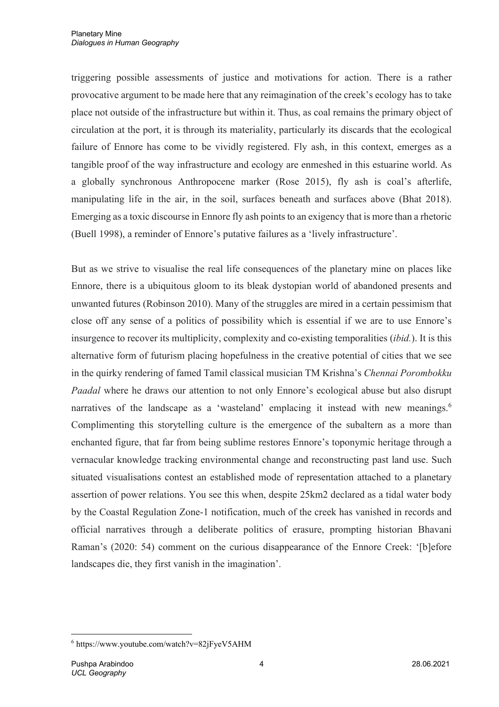triggering possible assessments of justice and motivations for action. There is a rather provocative argument to be made here that any reimagination of the creek's ecology has to take place not outside of the infrastructure but within it. Thus, as coal remains the primary object of circulation at the port, it is through its materiality, particularly its discards that the ecological failure of Ennore has come to be vividly registered. Fly ash, in this context, emerges as a tangible proof of the way infrastructure and ecology are enmeshed in this estuarine world. As a globally synchronous Anthropocene marker (Rose 2015), fly ash is coal's afterlife, manipulating life in the air, in the soil, surfaces beneath and surfaces above (Bhat 2018). Emerging as a toxic discourse in Ennore fly ash points to an exigency that is more than a rhetoric (Buell 1998), a reminder of Ennore's putative failures as a 'lively infrastructure'.

But as we strive to visualise the real life consequences of the planetary mine on places like Ennore, there is a ubiquitous gloom to its bleak dystopian world of abandoned presents and unwanted futures (Robinson 2010). Many of the struggles are mired in a certain pessimism that close off any sense of a politics of possibility which is essential if we are to use Ennore's insurgence to recover its multiplicity, complexity and co-existing temporalities (*ibid.*). It is this alternative form of futurism placing hopefulness in the creative potential of cities that we see in the quirky rendering of famed Tamil classical musician TM Krishna's *Chennai Porombokku Paadal* where he draws our attention to not only Ennore's ecological abuse but also disrupt narratives of the landscape as a 'wasteland' emplacing it instead with new meanings.<sup>6</sup> Complimenting this storytelling culture is the emergence of the subaltern as a more than enchanted figure, that far from being sublime restores Ennore's toponymic heritage through a vernacular knowledge tracking environmental change and reconstructing past land use. Such situated visualisations contest an established mode of representation attached to a planetary assertion of power relations. You see this when, despite 25km2 declared as a tidal water body by the Coastal Regulation Zone-1 notification, much of the creek has vanished in records and official narratives through a deliberate politics of erasure, prompting historian Bhavani Raman's (2020: 54) comment on the curious disappearance of the Ennore Creek: '[b]efore landscapes die, they first vanish in the imagination'.

 $6$  https://www.youtube.com/watch?v=82 $i$ FyeV5AHM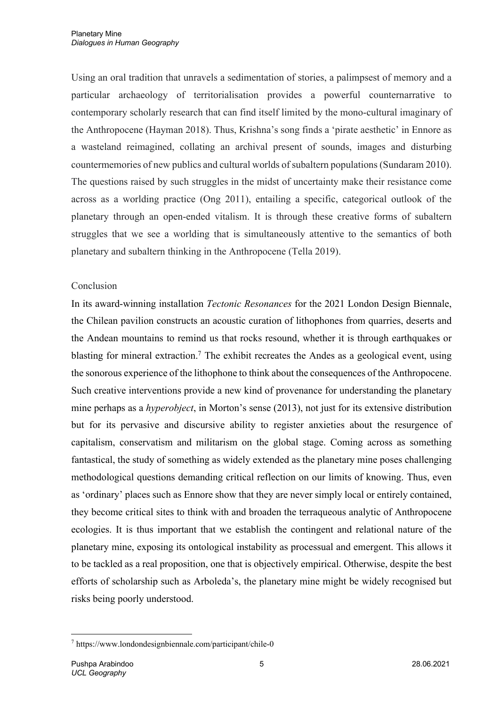Using an oral tradition that unravels a sedimentation of stories, a palimpsest of memory and a particular archaeology of territorialisation provides a powerful counternarrative to contemporary scholarly research that can find itself limited by the mono-cultural imaginary of the Anthropocene (Hayman 2018). Thus, Krishna's song finds a 'pirate aesthetic' in Ennore as a wasteland reimagined, collating an archival present of sounds, images and disturbing countermemories of new publics and cultural worlds of subaltern populations(Sundaram 2010). The questions raised by such struggles in the midst of uncertainty make their resistance come across as a worlding practice (Ong 2011), entailing a specific, categorical outlook of the planetary through an open-ended vitalism. It is through these creative forms of subaltern struggles that we see a worlding that is simultaneously attentive to the semantics of both planetary and subaltern thinking in the Anthropocene (Tella 2019).

## Conclusion

In its award-winning installation *Tectonic Resonances* for the 2021 London Design Biennale, the Chilean pavilion constructs an acoustic curation of lithophones from quarries, deserts and the Andean mountains to remind us that rocks resound, whether it is through earthquakes or blasting for mineral extraction.7 The exhibit recreates the Andes as a geological event, using the sonorous experience of the lithophone to think about the consequences of the Anthropocene. Such creative interventions provide a new kind of provenance for understanding the planetary mine perhaps as a *hyperobject*, in Morton's sense (2013), not just for its extensive distribution but for its pervasive and discursive ability to register anxieties about the resurgence of capitalism, conservatism and militarism on the global stage. Coming across as something fantastical, the study of something as widely extended as the planetary mine poses challenging methodological questions demanding critical reflection on our limits of knowing. Thus, even as 'ordinary' places such as Ennore show that they are never simply local or entirely contained, they become critical sites to think with and broaden the terraqueous analytic of Anthropocene ecologies. It is thus important that we establish the contingent and relational nature of the planetary mine, exposing its ontological instability as processual and emergent. This allows it to be tackled as a real proposition, one that is objectively empirical. Otherwise, despite the best efforts of scholarship such as Arboleda's, the planetary mine might be widely recognised but risks being poorly understood.

<sup>7</sup> https://www.londondesignbiennale.com/participant/chile-0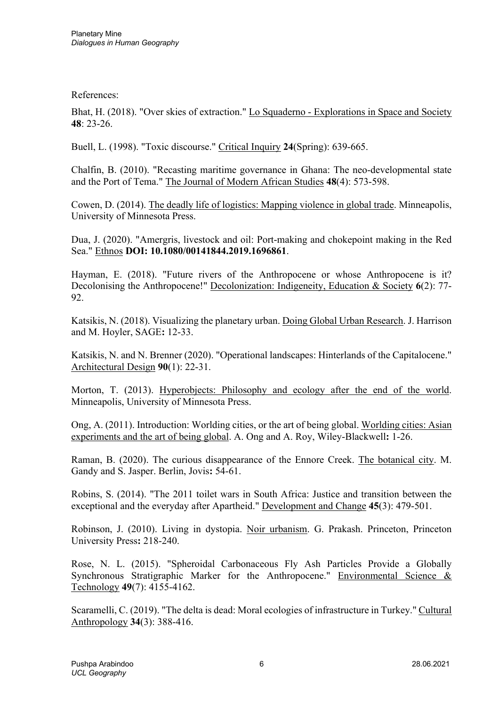References:

Bhat, H. (2018). "Over skies of extraction." Lo Squaderno - Explorations in Space and Society **48**: 23-26.

Buell, L. (1998). "Toxic discourse." Critical Inquiry **24**(Spring): 639-665.

Chalfin, B. (2010). "Recasting maritime governance in Ghana: The neo-developmental state and the Port of Tema." The Journal of Modern African Studies **48**(4): 573-598.

Cowen, D. (2014). The deadly life of logistics: Mapping violence in global trade. Minneapolis, University of Minnesota Press.

Dua, J. (2020). "Amergris, livestock and oil: Port-making and chokepoint making in the Red Sea." Ethnos **DOI: 10.1080/00141844.2019.1696861**.

Hayman, E. (2018). "Future rivers of the Anthropocene or whose Anthropocene is it? Decolonising the Anthropocene!" Decolonization: Indigeneity, Education & Society **6**(2): 77- 92.

Katsikis, N. (2018). Visualizing the planetary urban. Doing Global Urban Research. J. Harrison and M. Hoyler, SAGE**:** 12-33.

Katsikis, N. and N. Brenner (2020). "Operational landscapes: Hinterlands of the Capitalocene." Architectural Design **90**(1): 22-31.

Morton, T. (2013). Hyperobjects: Philosophy and ecology after the end of the world. Minneapolis, University of Minnesota Press.

Ong, A. (2011). Introduction: Worlding cities, or the art of being global. Worlding cities: Asian experiments and the art of being global. A. Ong and A. Roy, Wiley-Blackwell**:** 1-26.

Raman, B. (2020). The curious disappearance of the Ennore Creek. The botanical city. M. Gandy and S. Jasper. Berlin, Jovis**:** 54-61.

Robins, S. (2014). "The 2011 toilet wars in South Africa: Justice and transition between the exceptional and the everyday after Apartheid." Development and Change **45**(3): 479-501.

Robinson, J. (2010). Living in dystopia. Noir urbanism. G. Prakash. Princeton, Princeton University Press**:** 218-240.

Rose, N. L. (2015). "Spheroidal Carbonaceous Fly Ash Particles Provide a Globally Synchronous Stratigraphic Marker for the Anthropocene." Environmental Science & Technology **49**(7): 4155-4162.

Scaramelli, C. (2019). "The delta is dead: Moral ecologies of infrastructure in Turkey." Cultural Anthropology **34**(3): 388-416.